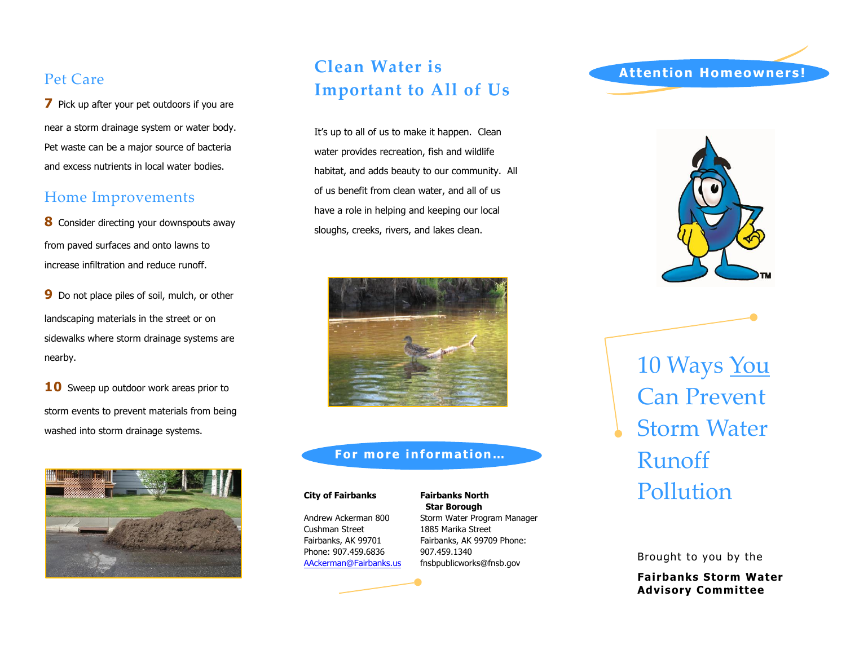## Pet Care

**7** Pick up after your pet outdoors if you are near a storm drainage system or water body. Pet waste can be a major source of bacteria and excess nutrients in local water bodies.

### Home Improvements

**8** Consider directing your downspouts away from paved surfaces and onto lawns to increase infiltration and reduce runoff.

**9** Do not place piles of soil, mulch, or other landscaping materials in the street or on sidewalks where storm drainage systems are nearby.

10 Sweep up outdoor work areas prior to storm events to prevent materials from being washed into storm drainage systems.



# **Clean Water is Important to All of Us**

It's up to all of us to make it happen. Clean water provides recreation, fish and wildlife habitat, and adds beauty to our community. All of us benefit from clean water, and all of us have a role in helping and keeping our local sloughs, creeks, rivers, and lakes clean.



### **For more information…**

Andrew Ackerman 800 Cushman Street Fairbanks, AK 99701 Phone: 907.459.6836 A[Ackerman@Fairbanks.us](mailto:AAckerman@Fairbanks.us)

**Fairbanks North Star Borough** Storm Water Program Manager 1885 Marika Street Fairbanks, AK 99709 Phone: 907.459.1340 f[nsbpublicworks@fnsb.g](mailto:AWorhatch@fnsb.us)ov

### **Attention Homeowners !**



10 Ways You Can Prevent Storm Water Runoff **City of Fairbanks Fairbanks North Pollution** 

Brought to you by the

**Fairbanks Storm Water Advisory Committee**